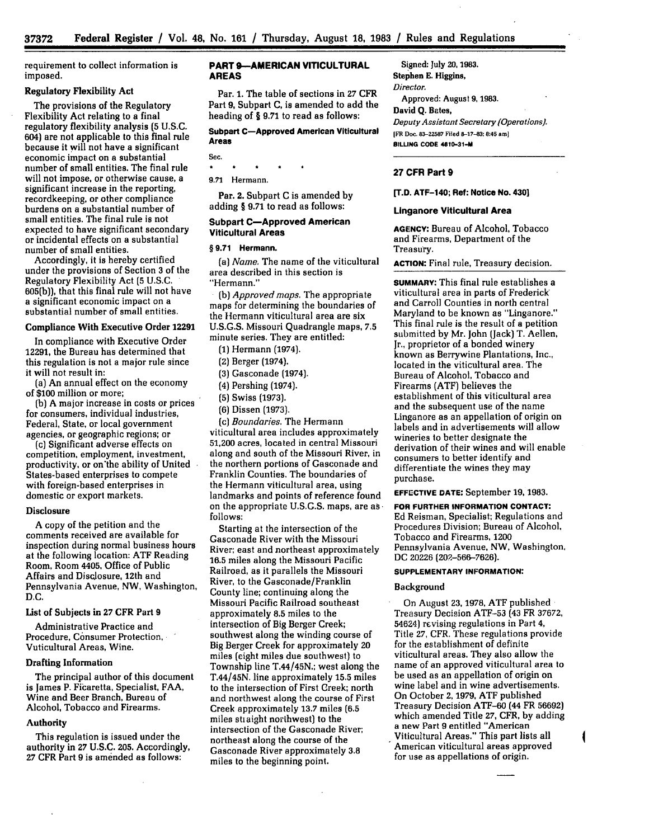requirement to collect information is imposed.

# Regulatory Flexibility Act

The provisions of the Regulatory Flexibility Act relating to a final regulatory flexibility analysis **(5** U.S.C. 604) are not applicable to this final rule because it will not have a significant economic impact on a substantial number of small entities. The final rule will not impose, or otherwise cause, a significant increase in the reporting, recordkeeping, or other compliance burdens on a substantial number of small entities. The final rule is not expected to have significant secondary or incidental effects on a substantial number of small entities.

Accordingly, it is hereby certified under the provisions of Section **3** of the Regulatory Flexibility Act **(5** U.S.C. 605(b)), that this final rule will not have a significant economic impact on a substantial number of small entities.

### Compliance With Executive Order **12291**

In compliance with Executive Order 12291, the Bureau has determined that this regulation is not a major rule since it will not result in:

(a) An annual effect on the economy of **\$100** million or more;

**(b)** A major increase in costs or prices for consumers, individual industries, Federal, State, or local government agencies, or geographic regions; or

(c) Significant adverse effects on competition, employment, investment, productivity, or on'the ability of United States-based enterprises to compete with foreign-based enterprises in domestic or export markets.

#### **Disclosure**

A copy of the petition and the comments received are available for inspection during normal business hours at the following location: ATF Reading Room, Room 4405, Office of Public Affairs and Disclosure, 12th and Pennsylvania Avenue, NW, Washington, **D.C.**

List of Subjects in **27** CFR Part **9**

Administrative Practice and Procedure, Consumer Protection, Vuticultural Areas, Wine.

### Drafting Information

The principal author of this document is James P. Ficaretta, Specialist, **FAA,** Wine and Beer Branch, Bureau of Alcohol, Tobacco and Firearms.

### Authority

This regulation is issued under the authority in **27 U.S.C. 205.** Accordingly, **27** CFR Part **9** is amended as follows:

# **PART 9--AMERICAN VITICULTURAL AREAS**

Par. **1.** The table of sections in 27 CFR Part **9,** Subpart **C,** is amended to add the heading of § **9.71** to read as **follows:**

Subpart **C-Approved American Viticultural** Areas

**Sec.**

9.71 Hermann.

 $\bullet$ 

Par. 2. Subpart C is amended by adding § 9.71 to read as follows:

# **Subpart C-Approved American Viticultural Areas**

#### **§ 9.71 Hermann.**

*(a) Name.* The name **of** the viticultural area described in this section is "Hermann."

**. (b)** *Approved maps.* The appropriate maps for determining the boundaries of the Hermann viticultural area are six U.S.G.S. Missouri Quadrangle maps, 7.5 minute series. They are entitled:

**(1)** Hermann (1974).

(2) Berger (1974).

(3) Gasconade (1974).

**(4)** Pershing (1974).

(5) Swiss (1973).

(6) Dissen **(1973).**

*(c) Boundaries.* The Hermann

viticultural area includes approximately **51,200** acres, located in central Missouri along and south of the Missouri River, in the northern portions of Gasconade and Franklin Counties. The boundaries of the Hermann viticultural area, using landmarks and points of reference found on the appropriate **U.S.G.S.** maps, are **as follows:**

Starting at the intersection of the Gasconade River with the Missouri River; east and northeast approximately 16.5 miles along the Missouri Pacific Railroad, as it parallels the Missouri River, to the Gasconade/Franklin County line; continuing along the Missouri Pacific Railroad southeast approximately **8.5** miles to the intersection of Big Berger Creek; southwest along the winding course of Big Berger Creek for approximately 20 miles (eight miles due southwest) to Township line T.44/45N.; west along the T.44/45N. line approximately 15.5 miles to the intersection of First Creek; north and northwest along the course of First Creek approximately 13.7 miles (6.5 miles stiaight northwest) to the intersection of the Gasconade River; northeast along the course of the Gasconade River approximately **3.8** miles to the beginning point.

Signed: July **20, 1983.** Stephen **E.** Higgins,

Director.

Approved: August **9, 1983.**

David **Q.** Bates, Deputy *Assistant Secretary (Operations).*

**IFR Doc. 83-22587 Filed 8-17-83: 8:45 am] BILLING CODE 4810-31-M**

# **27 CFR Part 9**

**[T.D. ATF-140; Ref: Notice No. 430]**

### **Linganore Viticultural Area**

**AGENCY:** Bureau **of** Alcohol, Tobacco and Firearms, Department of the Treasury.

**ACTION:** Final rule, Treasury decision.

**SUMMARY:** This final rule establishes a viticultural area in parts of Frederick and Carroll Counties in north central Maryland to be known as "Linganore." This final rule is the result of a petition submitted **by** Mr. John (Jack) T. Aellen, Jr., proprietor of a bonded winery known as Berrywine Plantations, Inc., located in the viticultural area. The Bureau of Alcohol, Tobacco and Firearms (ATF) believes the establishment of this viticultural area and the subsequent use of the name Linganore as an appellation of origin on labels and in advertisements will allow wineries to better designate the derivation of their wines and will enable consumers to better identify and differentiate the wines they may purchase.

**EFFECTIVE DATE:** September **19, 1983.**

**FOR FURTHER INFORMATION CONTACT: Ed** Reisman, Specialist; Regulations and Procedures Division; Bureau of Alcohol, Tobacco and Firearms, 1200 Pennsylvania Avenue, NW, Washington, **DC** 20226 **(202-566-7626).**

### **SUPPLEMENTARY INFORMATION:**

#### Background

On August **23, 1978,** ATF published Treasury Decision ATF-53 (43 FR **37672,** 54624) revising regulations in Part 4, Title **27,** CFR. These regulations provide for the establishment of definite viticultural areas. They also allow the name of an approved viticultural area to be used as an appellation of origin on wine label and in wine advertisements. On October **2,** 1979, ATF published Treasury Decision ATF-60 (44 FR 56692) which amended Title **27,** CFR, **by** adding a new Part 9 entitled "American Viticultural Areas." This part lists all American viticultural areas approved for use as appellations of origin.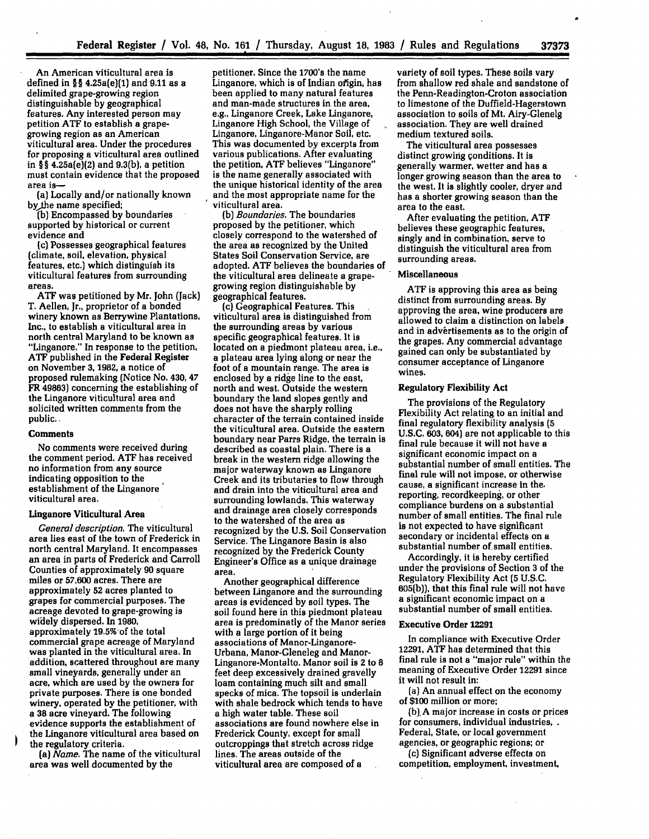An American viticultural area is defined in **§§** 4.25a(e)(1) and 9,11 as a delimited grape-growing region distinguishable **by** geographical features. Any interested person may petition **ATF** to establish a grapegrowing region as an American viticultural area. Under the procedures for proposing a viticultural area outlined in § **§** 4.25a(e)(2) and **9.3(b),** a petition must contain evidence that the proposed area is-

(a) Locally and/or nationally known bythe name specified;

**(b)** Encompassed **by** boundaries supported **by** historical or current evidence and

(c) Possesses geographical features (climate, soil, elevation, physical features, etc.) which distinguish its viticultural features from surrounding areas.

**ATF** was petitioned **by** Mr. John (Jack) T. Aellen, Jr., proprietor of a bonded winery known as Berrywine Plantations, Inc., to establish a viticultural area in north central Maryland to be known as "Linganore." In response to the petition, **ATF** published in the Federal Register on November **3, 1982,** a notice of proposed rulemaking (Notice No. 430, 47 FR **49863)** concerning the establishing of the Linganore viticultural area and solicited written comments from the public..

### **Comments**

No comments were received during the comment period. **ATF** has received no information from any source indicating opposition to the establishment of the Linganore viticultural area.

### Linganore Viticultural Area

*General description.* The viticultural area lies east of the town of Frederick in north central Maryland. It encompasses an area in parts of Frederick and Carroll Counties of approximately **90** square miles or **57,600** acres. There are approximately **52** acres planted to grapes for commercial purposes. The acreage devoted to grape-growing is widely dispersed. In **1980,** approximately 19.5% of the total<br>commercial grape acreage of Maryland was planted in the viticultural area. In addition, scattered throughout are many small vineyards, generally under an acre, which are used by the owners for private purposes. There is one bonded winery, operated **by** the petitioner, with a **38** acre vineyard. The following evidence supports the establishment of the Linganore viticultural area based on the regulatory criteria.

(a) *Name.* The name of the viticultural area was well documented **by** the

petitioner. Since the 1700's the name Linganore, which is of Indian ofigin, has been applied to many natural features and man-made structures in the area, eg., Linganore Creek, Lake Linganore, Linganore High School, the Village of Linganore, Linganore-Manor Soil, etc. This was documented **by** excerpts from various publications. After evaluating the petition, **ATF** believes "Linganore" is the name generally associated with the unique historical identity of the area and the most appropriate name for the viticultural area.

(b) *Boundaries.* The boundaries proposed **by** the petitioner, which closely correspond to the watershed of the area as recognized **by** the United States Soil Conservation Service, are adopted. **ATF** believes the boundaries of the viticultural area delineate a grapegrowing region distinguishable **by** geographical features.

(c) Geographical Features. This viticultural area is distinguished from the surrounding areas **by** various specific geographical features. It is located on a piedmont plateau area, i.e., a plateau area lying along or near the foot of a mountain range. The area is enclosed **by** a ridge line to the east, north and west. Outside the western boundary the land slopes gently and does not have the sharply rolling character of the terrain contained inside the viticultural area. Outside the eastern boundary near Parrs Ridge, the terrain is described as coastal plain. There is a break in the western ridge allowing the major waterway known as Linganore Creek and its tributaries to flow through and drain into the viticultural area and surrounding lowlands. This waterway and drainage area closely corresponds to the watershed of the area as recognized **by** the **U.S.** Soil Conservation Service. The Linganore Basin is also recognized **by** the Frederick County Engineer's Office as a unique drainage area.

Another geographical difference between Linganore and the surrounding areas is evidenced **by** soil types. The soil found here in this piedmont plateau area is predominatly of the Manor series with a large portion of it being associations of Manor-Linganore-Urbana, Manor-Gleneleg and Manor-Linganore-Montalto. Manor soil is 2 to **8** feet deep excessively drained gravelly loam containing much silt and small specks of mica. The topsoil is underlain with shale bedrock which tends to have a high water table. These soil associations are found nowhere else in Frederick County, except for small outcroppings that stretch across ridge lines. The areas outside of the viticultural area are composed of a

variety of soil types. These soils vary from shallow red shale and sandstone of the Penn-Readington-Croton association to limestone of the Duffield-Hagerstown association to soils of Mt. Airy-Glenelg association. They are well drained medium textured soils.

The viticultural area possesses distinct growing conditions. It is generally warmer, wetter and has a longer growing season than the area to the west. It is slightly cooler, dryer and has a shorter growing season than the area to the east.

After evaluating the petition, **ATF** believes these geographic features, singly and in combination, serve to distinguish the viticultural area from surrounding areas.

#### **Miscellaneous**

**ATF** is approving this area as being distinct from surrounding areas. **By** approving the area, wine producers are allowed to claim a distinction on labels and in advertisements as to the origin of the grapes. Any commercial advantage gained can only be substantiated **by** consumer acceptance of Linganore wines.

# Regulatory Flexibility Act

The provisions of the Regulatory Flexibility Act relating to an initial and final regulatory flexibility analysis **(5** U.S.C. **603,** 604) are not applicable to this final rule because it will not have a significant economic impact on a substantial number of small entities. The final rule will not impose, or otherwise cause, a significant increase in the. reporting, recordkeeping, or other compliance burdens on a substantial number of small entities. The final rule is not expected to have significant secondary or incidental effects on a substantial number of.small entities.

Accordingly, it is hereby certified under the provisions of Section **3** of the Regulatory Flexibility Act **(5** U.S.C. 605(b)), that this final rule will not have a significant economic impact on a substantial number of small entities.

### **Executive Order 12291**

In compliance with Executive Order 12291, **ATF** has determined that this final rule is not a "major rule" within the meaning of Executive Order 12291 since it will not result in:

(a) An annual effect on the economy of **\$100** million or more;

**(b),A** major increase in costs or prices for consumers, individual industries, Federal, State, or local government agencies, or geographic regions; or (c) Significant adverse effects on

competition, employment, investment,